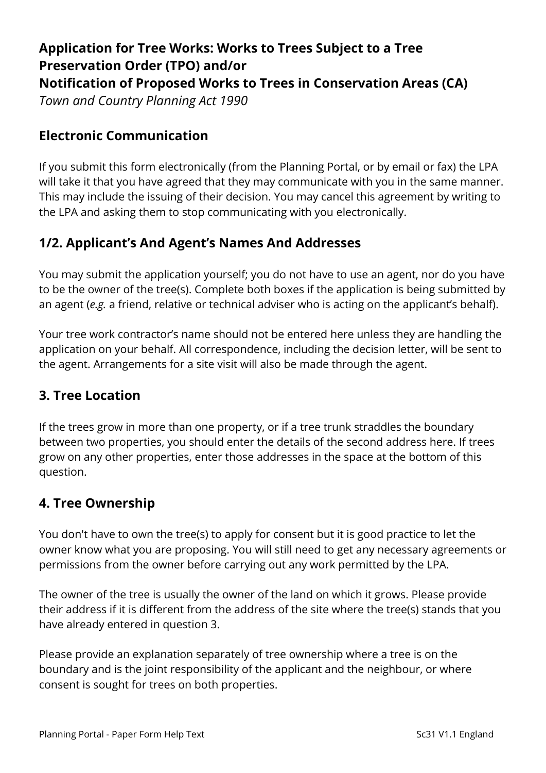# **Application for Tree Works: Works to Trees Subject to a Tree Preservation Order (TPO) and/or Notification of Proposed Works to Trees in Conservation Areas (CA)**

*Town and Country Planning Act 1990*

# **Electronic Communication**

If you submit this form electronically (from the Planning Portal, or by email or fax) the LPA will take it that you have agreed that they may communicate with you in the same manner. This may include the issuing of their decision. You may cancel this agreement by writing to the LPA and asking them to stop communicating with you electronically.

# **1/2. Applicant's And Agent's Names And Addresses**

You may submit the application yourself; you do not have to use an agent, nor do you have to be the owner of the tree(s). Complete both boxes if the application is being submitted by an agent (*e.g.* a friend, relative or technical adviser who is acting on the applicant's behalf).

Your tree work contractor's name should not be entered here unless they are handling the application on your behalf. All correspondence, including the decision letter, will be sent to the agent. Arrangements for a site visit will also be made through the agent.

# **3. Tree Location**

If the trees grow in more than one property, or if a tree trunk straddles the boundary between two properties, you should enter the details of the second address here. If trees grow on any other properties, enter those addresses in the space at the bottom of this question.

# **4. Tree Ownership**

You don't have to own the tree(s) to apply for consent but it is good practice to let the owner know what you are proposing. You will still need to get any necessary agreements or permissions from the owner before carrying out any work permitted by the LPA.

The owner of the tree is usually the owner of the land on which it grows. Please provide their address if it is different from the address of the site where the tree(s) stands that you have already entered in question 3.

Please provide an explanation separately of tree ownership where a tree is on the boundary and is the joint responsibility of the applicant and the neighbour, or where consent is sought for trees on both properties.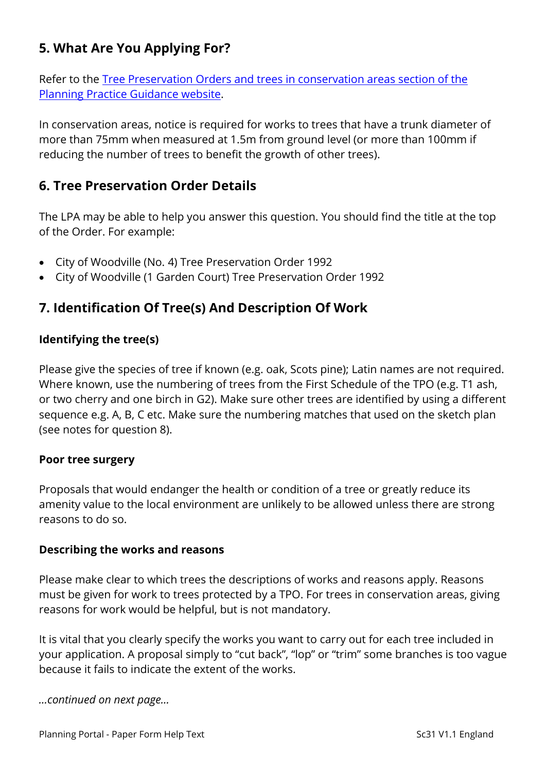# **5. What Are You Applying For?**

Refer to the [Tree Preservation Orders and trees in conservation areas section of the](http://planningguidance.communities.gov.uk/blog/guidance/tree-preservation-orders/)  [Planning Practice Guidance website.](http://planningguidance.communities.gov.uk/blog/guidance/tree-preservation-orders/)

In conservation areas, notice is required for works to trees that have a trunk diameter of more than 75mm when measured at 1.5m from ground level (or more than 100mm if reducing the number of trees to benefit the growth of other trees).

### **6. Tree Preservation Order Details**

The LPA may be able to help you answer this question. You should find the title at the top of the Order. For example:

- City of Woodville (No. 4) Tree Preservation Order 1992
- City of Woodville (1 Garden Court) Tree Preservation Order 1992

### **7. Identification Of Tree(s) And Description Of Work**

#### **Identifying the tree(s)**

Please give the species of tree if known (e.g. oak, Scots pine); Latin names are not required. Where known, use the numbering of trees from the First Schedule of the TPO (e.g. T1 ash, or two cherry and one birch in G2). Make sure other trees are identified by using a different sequence e.g. A, B, C etc. Make sure the numbering matches that used on the sketch plan (see notes for question 8).

#### **Poor tree surgery**

Proposals that would endanger the health or condition of a tree or greatly reduce its amenity value to the local environment are unlikely to be allowed unless there are strong reasons to do so.

#### **Describing the works and reasons**

Please make clear to which trees the descriptions of works and reasons apply. Reasons must be given for work to trees protected by a TPO. For trees in conservation areas, giving reasons for work would be helpful, but is not mandatory.

It is vital that you clearly specify the works you want to carry out for each tree included in your application. A proposal simply to "cut back", "lop" or "trim" some branches is too vague because it fails to indicate the extent of the works.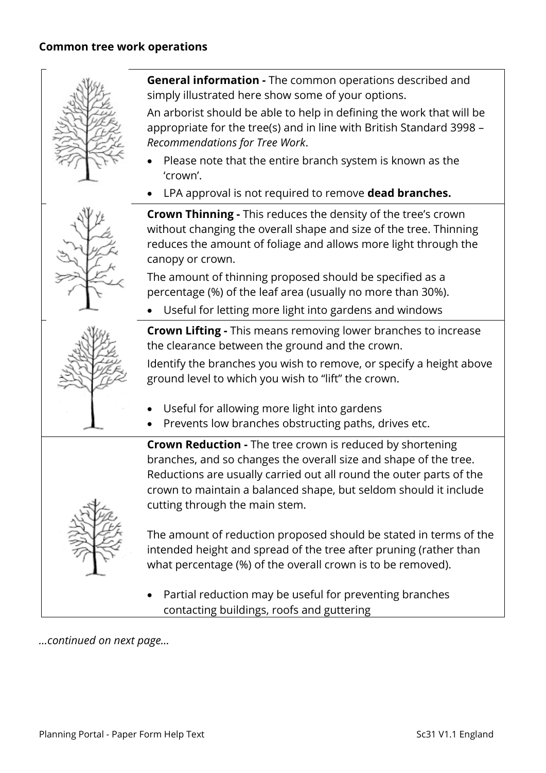

**General information -** The common operations described and simply illustrated here show some of your options.

An arborist should be able to help in defining the work that will be appropriate for the tree(s) and in line with British Standard 3998 – *Recommendations for Tree Work*.

- Please note that the entire branch system is known as the 'crown'.
- LPA approval is not required to remove **dead branches.**



**Crown Thinning -** This reduces the density of the tree's crown without changing the overall shape and size of the tree. Thinning reduces the amount of foliage and allows more light through the canopy or crown.

The amount of thinning proposed should be specified as a percentage (%) of the leaf area (usually no more than 30%).

• Useful for letting more light into gardens and windows



**Crown Lifting -** This means removing lower branches to increase the clearance between the ground and the crown.

Identify the branches you wish to remove, or specify a height above ground level to which you wish to "lift" the crown.

- Useful for allowing more light into gardens
- Prevents low branches obstructing paths, drives etc.

**Crown Reduction -** The tree crown is reduced by shortening branches, and so changes the overall size and shape of the tree. Reductions are usually carried out all round the outer parts of the crown to maintain a balanced shape, but seldom should it include cutting through the main stem.

The amount of reduction proposed should be stated in terms of the intended height and spread of the tree after pruning (rather than what percentage (%) of the overall crown is to be removed).

• Partial reduction may be useful for preventing branches contacting buildings, roofs and guttering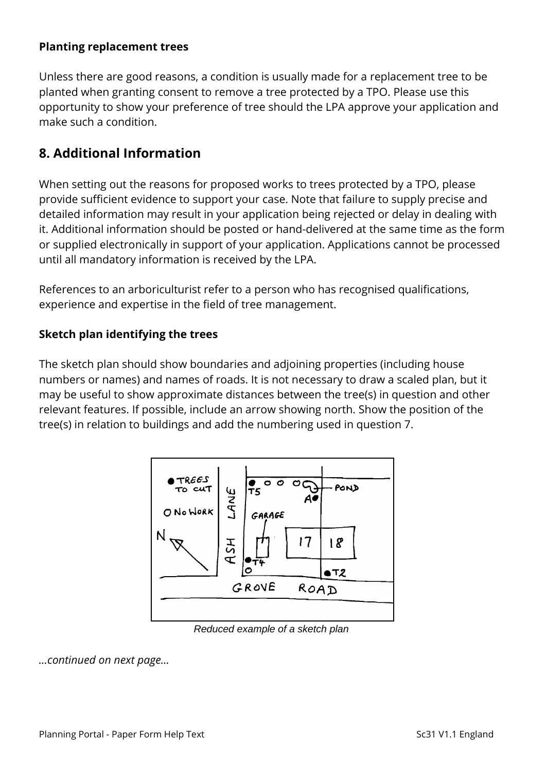#### **Planting replacement trees**

Unless there are good reasons, a condition is usually made for a replacement tree to be planted when granting consent to remove a tree protected by a TPO. Please use this opportunity to show your preference of tree should the LPA approve your application and make such a condition.

### **8. Additional Information**

When setting out the reasons for proposed works to trees protected by a TPO, please provide sufficient evidence to support your case. Note that failure to supply precise and detailed information may result in your application being rejected or delay in dealing with it. Additional information should be posted or hand-delivered at the same time as the form or supplied electronically in support of your application. Applications cannot be processed until all mandatory information is received by the LPA.

References to an arboriculturist refer to a person who has recognised qualifications, experience and expertise in the field of tree management.

#### **Sketch plan identifying the trees**

The sketch plan should show boundaries and adjoining properties (including house numbers or names) and names of roads. It is not necessary to draw a scaled plan, but it may be useful to show approximate distances between the tree(s) in question and other relevant features. If possible, include an arrow showing north. Show the position of the tree(s) in relation to buildings and add the numbering used in question 7.



*Reduced example of a sketch plan*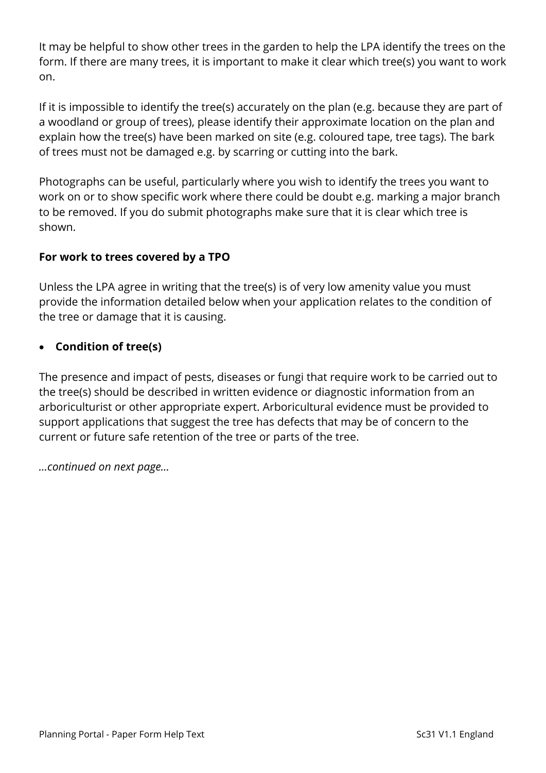It may be helpful to show other trees in the garden to help the LPA identify the trees on the form. If there are many trees, it is important to make it clear which tree(s) you want to work on.

If it is impossible to identify the tree(s) accurately on the plan (e.g. because they are part of a woodland or group of trees), please identify their approximate location on the plan and explain how the tree(s) have been marked on site (e.g. coloured tape, tree tags). The bark of trees must not be damaged e.g. by scarring or cutting into the bark.

Photographs can be useful, particularly where you wish to identify the trees you want to work on or to show specific work where there could be doubt e.g. marking a major branch to be removed. If you do submit photographs make sure that it is clear which tree is shown.

### **For work to trees covered by a TPO**

Unless the LPA agree in writing that the tree(s) is of very low amenity value you must provide the information detailed below when your application relates to the condition of the tree or damage that it is causing.

#### • **Condition of tree(s)**

The presence and impact of pests, diseases or fungi that require work to be carried out to the tree(s) should be described in written evidence or diagnostic information from an arboriculturist or other appropriate expert. Arboricultural evidence must be provided to support applications that suggest the tree has defects that may be of concern to the current or future safe retention of the tree or parts of the tree.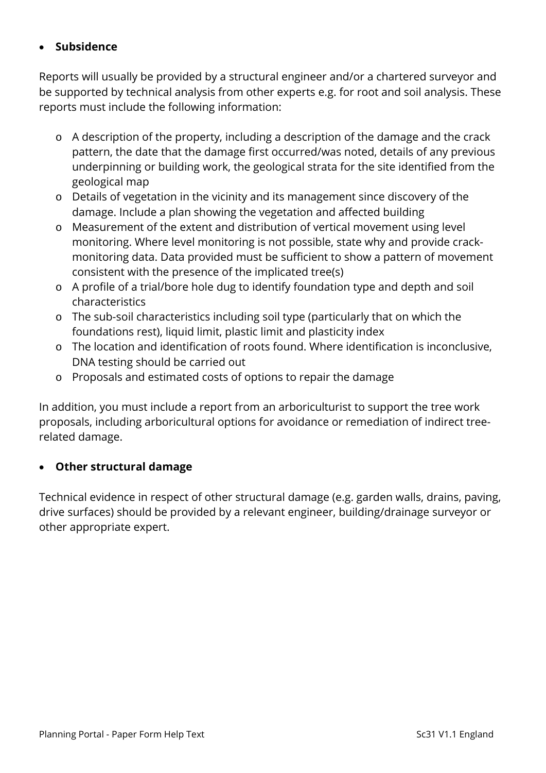#### • **Subsidence**

Reports will usually be provided by a structural engineer and/or a chartered surveyor and be supported by technical analysis from other experts e.g. for root and soil analysis. These reports must include the following information:

- o A description of the property, including a description of the damage and the crack pattern, the date that the damage first occurred/was noted, details of any previous underpinning or building work, the geological strata for the site identified from the geological map
- o Details of vegetation in the vicinity and its management since discovery of the damage. Include a plan showing the vegetation and affected building
- o Measurement of the extent and distribution of vertical movement using level monitoring. Where level monitoring is not possible, state why and provide crackmonitoring data. Data provided must be sufficient to show a pattern of movement consistent with the presence of the implicated tree(s)
- o A profile of a trial/bore hole dug to identify foundation type and depth and soil characteristics
- o The sub-soil characteristics including soil type (particularly that on which the foundations rest), liquid limit, plastic limit and plasticity index
- o The location and identification of roots found. Where identification is inconclusive, DNA testing should be carried out
- o Proposals and estimated costs of options to repair the damage

In addition, you must include a report from an arboriculturist to support the tree work proposals, including arboricultural options for avoidance or remediation of indirect treerelated damage.

#### • **Other structural damage**

Technical evidence in respect of other structural damage (e.g. garden walls, drains, paving, drive surfaces) should be provided by a relevant engineer, building/drainage surveyor or other appropriate expert.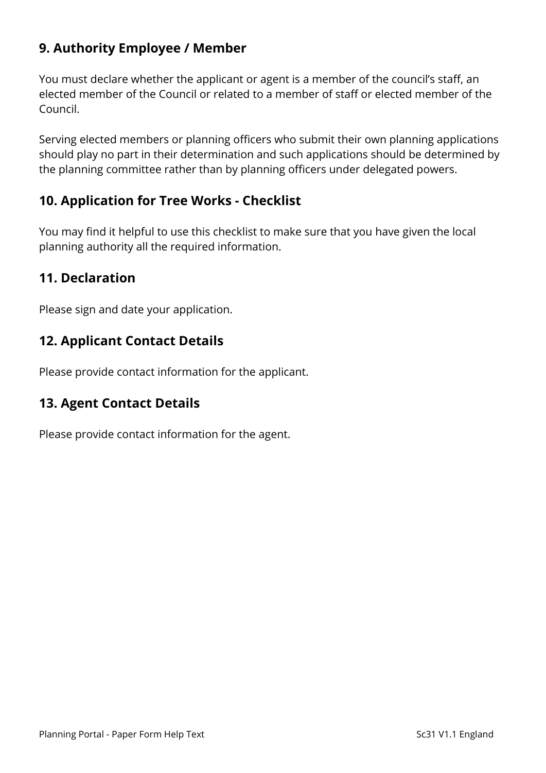# **9. Authority Employee / Member**

You must declare whether the applicant or agent is a member of the council's staff, an elected member of the Council or related to a member of staff or elected member of the Council.

Serving elected members or planning officers who submit their own planning applications should play no part in their determination and such applications should be determined by the planning committee rather than by planning officers under delegated powers.

### **10. Application for Tree Works - Checklist**

You may find it helpful to use this checklist to make sure that you have given the local planning authority all the required information.

### **11. Declaration**

Please sign and date your application.

### **12. Applicant Contact Details**

Please provide contact information for the applicant.

### **13. Agent Contact Details**

Please provide contact information for the agent.